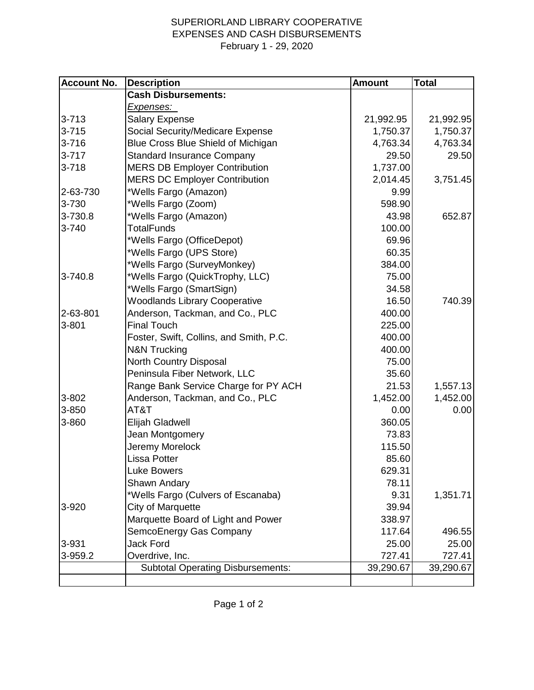## SUPERIORLAND LIBRARY COOPERATIVE EXPENSES AND CASH DISBURSEMENTS February 1 - 29, 2020

| <b>Account No.</b> | <b>Description</b>                       | <b>Amount</b> | <b>Total</b> |
|--------------------|------------------------------------------|---------------|--------------|
|                    | <b>Cash Disbursements:</b>               |               |              |
|                    | <u>Expenses: </u>                        |               |              |
| $3 - 713$          | <b>Salary Expense</b>                    | 21,992.95     | 21,992.95    |
| $3 - 715$          | Social Security/Medicare Expense         | 1,750.37      | 1,750.37     |
| $3 - 716$          | Blue Cross Blue Shield of Michigan       | 4,763.34      | 4,763.34     |
| $3 - 717$          | <b>Standard Insurance Company</b>        | 29.50         | 29.50        |
| $3 - 718$          | <b>MERS DB Employer Contribution</b>     | 1,737.00      |              |
|                    | <b>MERS DC Employer Contribution</b>     | 2,014.45      | 3,751.45     |
| 2-63-730           | *Wells Fargo (Amazon)                    | 9.99          |              |
| 3-730              | *Wells Fargo (Zoom)                      | 598.90        |              |
| 3-730.8            | *Wells Fargo (Amazon)                    | 43.98         | 652.87       |
| $3 - 740$          | <b>TotalFunds</b>                        | 100.00        |              |
|                    | *Wells Fargo (OfficeDepot)               | 69.96         |              |
|                    | *Wells Fargo (UPS Store)                 | 60.35         |              |
|                    | *Wells Fargo (SurveyMonkey)              | 384.00        |              |
| 3-740.8            | *Wells Fargo (QuickTrophy, LLC)          | 75.00         |              |
|                    | *Wells Fargo (SmartSign)                 | 34.58         |              |
|                    | <b>Woodlands Library Cooperative</b>     | 16.50         | 740.39       |
| 2-63-801           | Anderson, Tackman, and Co., PLC          | 400.00        |              |
| 3-801              | <b>Final Touch</b>                       | 225.00        |              |
|                    | Foster, Swift, Collins, and Smith, P.C.  | 400.00        |              |
|                    | <b>N&amp;N Trucking</b>                  | 400.00        |              |
|                    | North Country Disposal                   | 75.00         |              |
|                    | Peninsula Fiber Network, LLC             | 35.60         |              |
|                    | Range Bank Service Charge for PY ACH     | 21.53         | 1,557.13     |
| 3-802              | Anderson, Tackman, and Co., PLC          | 1,452.00      | 1,452.00     |
| 3-850              | AT&T                                     | 0.00          | 0.00         |
| 3-860              | Elijah Gladwell                          | 360.05        |              |
|                    | Jean Montgomery                          | 73.83         |              |
|                    | Jeremy Morelock                          | 115.50        |              |
|                    | Lissa Potter                             | 85.60         |              |
|                    | <b>Luke Bowers</b>                       | 629.31        |              |
|                    | Shawn Andary                             | 78.11         |              |
|                    | *Wells Fargo (Culvers of Escanaba)       | 9.31          | 1,351.71     |
| 3-920              | <b>City of Marquette</b>                 | 39.94         |              |
|                    | Marquette Board of Light and Power       | 338.97        |              |
|                    | SemcoEnergy Gas Company                  | 117.64        | 496.55       |
| 3-931              | <b>Jack Ford</b>                         | 25.00         | 25.00        |
| 3-959.2            | Overdrive, Inc.                          | 727.41        | 727.41       |
|                    | <b>Subtotal Operating Disbursements:</b> | 39,290.67     | 39,290.67    |
|                    |                                          |               |              |